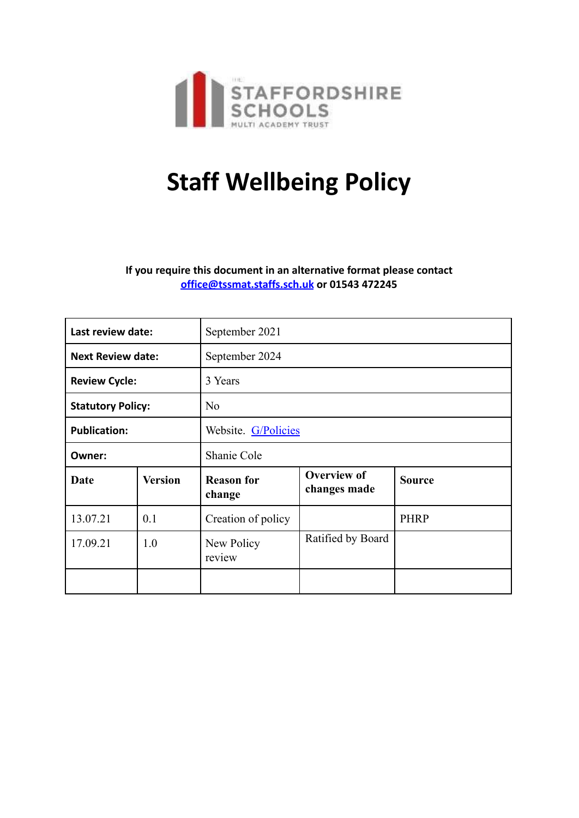

# **Staff Wellbeing Policy**

**If you require this document in an alternative format please contact office@tssmat.staffs.sch.uk or 01543 472245**

| Last review date:        |                | September 2021              |                                    |               |
|--------------------------|----------------|-----------------------------|------------------------------------|---------------|
| <b>Next Review date:</b> |                | September 2024              |                                    |               |
| <b>Review Cycle:</b>     |                | 3 Years                     |                                    |               |
| <b>Statutory Policy:</b> |                | No                          |                                    |               |
| <b>Publication:</b>      |                | Website. G/Policies         |                                    |               |
| Owner:                   |                | Shanie Cole                 |                                    |               |
| Date                     | <b>Version</b> | <b>Reason for</b><br>change | <b>Overview of</b><br>changes made | <b>Source</b> |
| 13.07.21                 | 0.1            | Creation of policy          |                                    | <b>PHRP</b>   |
| 17.09.21                 | 1.0            | New Policy<br>review        | Ratified by Board                  |               |
|                          |                |                             |                                    |               |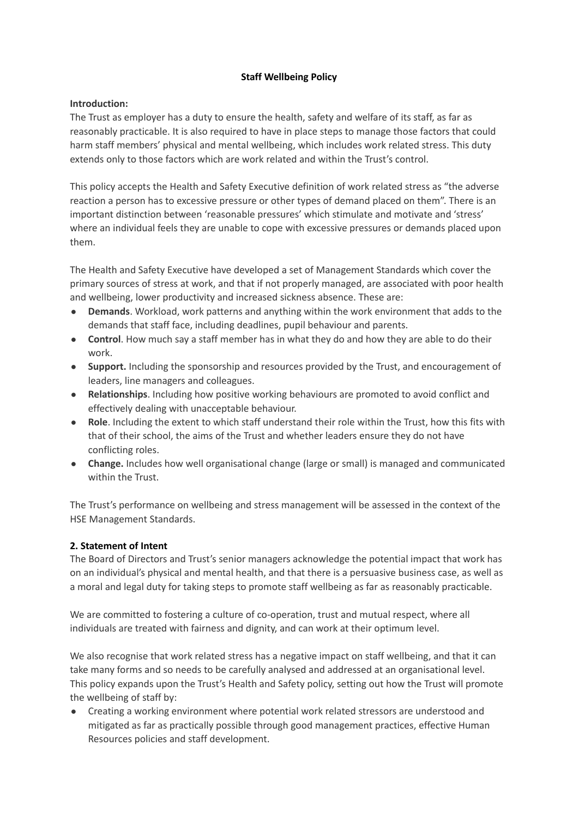#### **Staff Wellbeing Policy**

#### **Introduction:**

The Trust as employer has a duty to ensure the health, safety and welfare of its staff, as far as reasonably practicable. It is also required to have in place steps to manage those factors that could harm staff members' physical and mental wellbeing, which includes work related stress. This duty extends only to those factors which are work related and within the Trust's control.

This policy accepts the Health and Safety Executive definition of work related stress as "the adverse reaction a person has to excessive pressure or other types of demand placed on them". There is an important distinction between 'reasonable pressures' which stimulate and motivate and 'stress' where an individual feels they are unable to cope with excessive pressures or demands placed upon them.

The Health and Safety Executive have developed a set of Management Standards which cover the primary sources of stress at work, and that if not properly managed, are associated with poor health and wellbeing, lower productivity and increased sickness absence. These are:

- **Demands**. Workload, work patterns and anything within the work environment that adds to the demands that staff face, including deadlines, pupil behaviour and parents.
- **Control**. How much say a staff member has in what they do and how they are able to do their work.
- **Support.** Including the sponsorship and resources provided by the Trust, and encouragement of leaders, line managers and colleagues.
- **Relationships**. Including how positive working behaviours are promoted to avoid conflict and effectively dealing with unacceptable behaviour.
- **Role**. Including the extent to which staff understand their role within the Trust, how this fits with that of their school, the aims of the Trust and whether leaders ensure they do not have conflicting roles.
- **Change.** Includes how well organisational change (large or small) is managed and communicated within the Trust.

The Trust's performance on wellbeing and stress management will be assessed in the context of the HSE Management Standards.

## **2. Statement of Intent**

The Board of Directors and Trust's senior managers acknowledge the potential impact that work has on an individual's physical and mental health, and that there is a persuasive business case, as well as a moral and legal duty for taking steps to promote staff wellbeing as far as reasonably practicable.

We are committed to fostering a culture of co-operation, trust and mutual respect, where all individuals are treated with fairness and dignity, and can work at their optimum level.

We also recognise that work related stress has a negative impact on staff wellbeing, and that it can take many forms and so needs to be carefully analysed and addressed at an organisational level. This policy expands upon the Trust's Health and Safety policy, setting out how the Trust will promote the wellbeing of staff by:

● Creating a working environment where potential work related stressors are understood and mitigated as far as practically possible through good management practices, effective Human Resources policies and staff development.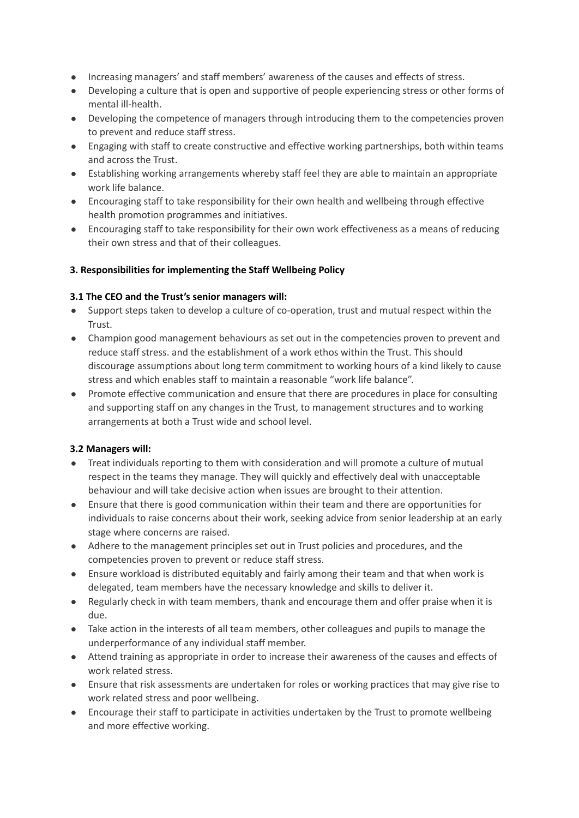- Increasing managers' and staff members' awareness of the causes and effects of stress.
- Developing a culture that is open and supportive of people experiencing stress or other forms of mental ill-health.
- Developing the competence of managers through introducing them to the competencies proven to prevent and reduce staff stress.
- Engaging with staff to create constructive and effective working partnerships, both within teams and across the Trust.
- Establishing working arrangements whereby staff feel they are able to maintain an appropriate work life balance.
- Encouraging staff to take responsibility for their own health and wellbeing through effective health promotion programmes and initiatives.
- Encouraging staff to take responsibility for their own work effectiveness as a means of reducing their own stress and that of their colleagues.

#### **3. Responsibilities for implementing the Staff Wellbeing Policy**

#### **3.1 The CEO and the Trust's senior managers will:**

- Support steps taken to develop a culture of co-operation, trust and mutual respect within the Trust.
- Champion good management behaviours as set out in the competencies proven to prevent and reduce staff stress. and the establishment of a work ethos within the Trust. This should discourage assumptions about long term commitment to working hours of a kind likely to cause stress and which enables staff to maintain a reasonable "work life balance".
- Promote effective communication and ensure that there are procedures in place for consulting and supporting staff on any changes in the Trust, to management structures and to working arrangements at both a Trust wide and school level.

#### **3.2 Managers will:**

- Treat individuals reporting to them with consideration and will promote a culture of mutual respect in the teams they manage. They will quickly and effectively deal with unacceptable behaviour and will take decisive action when issues are brought to their attention.
- Ensure that there is good communication within their team and there are opportunities for individuals to raise concerns about their work, seeking advice from senior leadership at an early stage where concerns are raised.
- Adhere to the management principles set out in Trust policies and procedures, and the competencies proven to prevent or reduce staff stress.
- Ensure workload is distributed equitably and fairly among their team and that when work is delegated, team members have the necessary knowledge and skills to deliver it.
- Regularly check in with team members, thank and encourage them and offer praise when it is due.
- Take action in the interests of all team members, other colleagues and pupils to manage the underperformance of any individual staff member.
- Attend training as appropriate in order to increase their awareness of the causes and effects of work related stress.
- Ensure that risk assessments are undertaken for roles or working practices that may give rise to work related stress and poor wellbeing.
- Encourage their staff to participate in activities undertaken by the Trust to promote wellbeing and more effective working.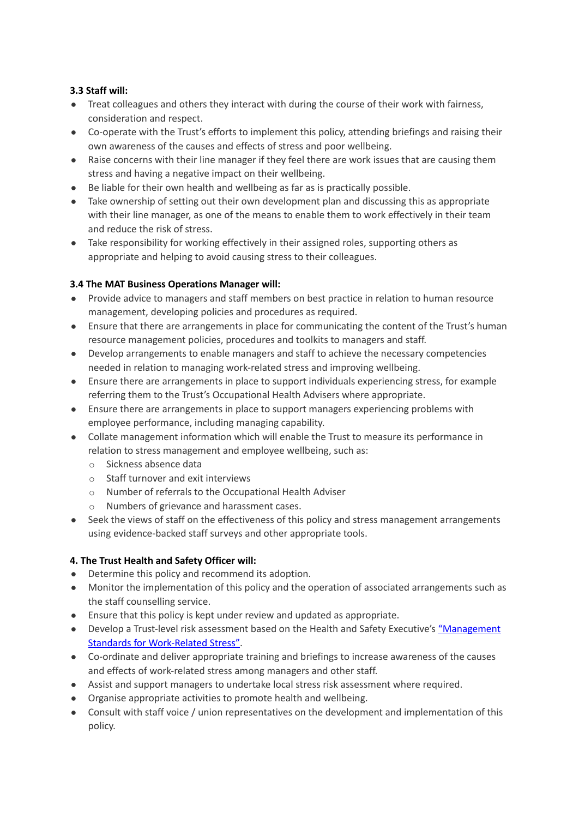# **3.3 Staff will:**

- Treat colleagues and others they interact with during the course of their work with fairness, consideration and respect.
- Co-operate with the Trust's efforts to implement this policy, attending briefings and raising their own awareness of the causes and effects of stress and poor wellbeing.
- Raise concerns with their line manager if they feel there are work issues that are causing them stress and having a negative impact on their wellbeing.
- Be liable for their own health and wellbeing as far as is practically possible.
- Take ownership of setting out their own development plan and discussing this as appropriate with their line manager, as one of the means to enable them to work effectively in their team and reduce the risk of stress.
- Take responsibility for working effectively in their assigned roles, supporting others as appropriate and helping to avoid causing stress to their colleagues.

## **3.4 The MAT Business Operations Manager will:**

- Provide advice to managers and staff members on best practice in relation to human resource management, developing policies and procedures as required.
- Ensure that there are arrangements in place for communicating the content of the Trust's human resource management policies, procedures and toolkits to managers and staff.
- Develop arrangements to enable managers and staff to achieve the necessary competencies needed in relation to managing work-related stress and improving wellbeing.
- Ensure there are arrangements in place to support individuals experiencing stress, for example referring them to the Trust's Occupational Health Advisers where appropriate.
- Ensure there are arrangements in place to support managers experiencing problems with employee performance, including managing capability.
- Collate management information which will enable the Trust to measure its performance in relation to stress management and employee wellbeing, such as:
	- o Sickness absence data
	- o Staff turnover and exit interviews
	- o Number of referrals to the Occupational Health Adviser
	- o Numbers of grievance and harassment cases.
- Seek the views of staff on the effectiveness of this policy and stress management arrangements using evidence-backed staff surveys and other appropriate tools.

## **4. The Trust Health and Safety Officer will:**

- Determine this policy and recommend its adoption.
- Monitor the implementation of this policy and the operation of associated arrangements such as the staff counselling service.
- Ensure that this policy is kept under review and updated as appropriate.
- Develop a Trust-level risk assessment based on the Health and Safety Executive's "Management Standards for Work-Related Stress".
- Co-ordinate and deliver appropriate training and briefings to increase awareness of the causes and effects of work-related stress among managers and other staff.
- Assist and support managers to undertake local stress risk assessment where required.
- Organise appropriate activities to promote health and wellbeing.
- Consult with staff voice / union representatives on the development and implementation of this policy.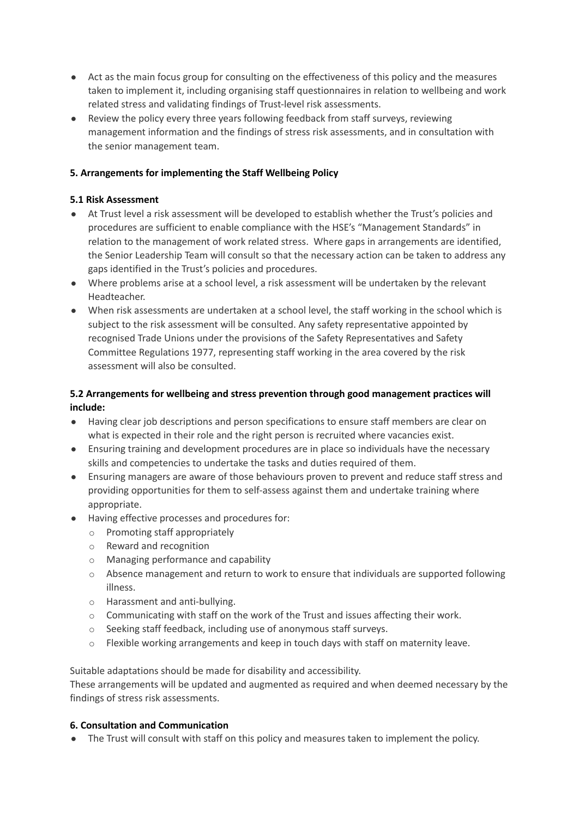- Act as the main focus group for consulting on the effectiveness of this policy and the measures taken to implement it, including organising staff questionnaires in relation to wellbeing and work related stress and validating findings of Trust-level risk assessments.
- Review the policy every three years following feedback from staff surveys, reviewing management information and the findings of stress risk assessments, and in consultation with the senior management team.

# **5. Arrangements for implementing the Staff Wellbeing Policy**

#### **5.1 Risk Assessment**

- At Trust level a risk assessment will be developed to establish whether the Trust's policies and procedures are sufficient to enable compliance with the HSE's "Management Standards" in relation to the management of work related stress. Where gaps in arrangements are identified, the Senior Leadership Team will consult so that the necessary action can be taken to address any gaps identified in the Trust's policies and procedures.
- Where problems arise at a school level, a risk assessment will be undertaken by the relevant Headteacher.
- When risk assessments are undertaken at a school level, the staff working in the school which is subject to the risk assessment will be consulted. Any safety representative appointed by recognised Trade Unions under the provisions of the Safety Representatives and Safety Committee Regulations 1977, representing staff working in the area covered by the risk assessment will also be consulted.

# **5.2 Arrangements for wellbeing and stress prevention through good management practices will include:**

- Having clear job descriptions and person specifications to ensure staff members are clear on what is expected in their role and the right person is recruited where vacancies exist.
- Ensuring training and development procedures are in place so individuals have the necessary skills and competencies to undertake the tasks and duties required of them.
- Ensuring managers are aware of those behaviours proven to prevent and reduce staff stress and providing opportunities for them to self-assess against them and undertake training where appropriate.
- Having effective processes and procedures for:
	- o Promoting staff appropriately
	- o Reward and recognition
	- o Managing performance and capability
	- $\circ$  Absence management and return to work to ensure that individuals are supported following illness.
	- o Harassment and anti-bullying.
	- o Communicating with staff on the work of the Trust and issues affecting their work.
	- o Seeking staff feedback, including use of anonymous staff surveys.
	- $\circ$  Flexible working arrangements and keep in touch days with staff on maternity leave.

Suitable adaptations should be made for disability and accessibility.

These arrangements will be updated and augmented as required and when deemed necessary by the findings of stress risk assessments.

## **6. Consultation and Communication**

● The Trust will consult with staff on this policy and measures taken to implement the policy.